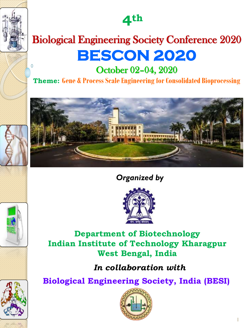**4th**

# Biological Engineering Society Conference 2020 **BESCON 2020**

October 02–04, 2020

**Theme: Gene & Process Scale Engineering for Consolidated Bioprocessing**



# *Organized by*



**Department of Biotechnology Indian Institute of Technology Kharagpur West Bengal, India**

*In collaboration with*

**Biological Engineering Society, India (BESI)**



1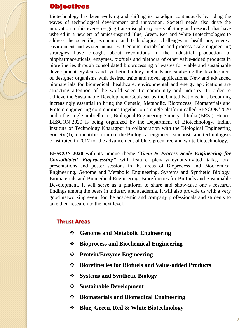#### **Objectives**

Biotechnology has been evolving and shifting its paradigm continuously by riding the waves of technological development and innovation. Societal needs also drive the innovation in this ever-emerging trans-disciplinary areas of study and research that have ushered in a new era of omics-inspired Blue, Green, Red and White Biotechnologies to address the scientific, economic and technological challenges in healthcare, energy, environment and waster industries. Genome, metabolic and process scale engineering strategies have brought about revolutions in the industrial production of biopharmaceuticals, enzymes, biofuels and plethora of other value-added products in biorefineries through consolidated bioprocessing of wastes for viable and sustainable development. Systems and synthetic biology methods are catalyzing the development of designer organisms with desired traits and novel applications. New and advanced biomaterials for biomedical, healthcare, environmental and energy applications are attracting attention of the world scientific community and industry. In order to achieve the Sustainable Development Goals set by the United Nations, it is becoming increasingly essential to bring the Genetic, Metabolic, Bioprocess, Biomaterials and Protein engineering communities together on a single platform called BESCON'2020 under the single umbrella i.e., Biological Engineering Society of India (BESI). Hence, BESCON'2020 is being organized by the Department of Biotechnology, Indian Institute of Technology Kharagpur in collaboration with the Biological Engineering Society (I), a scientific forum of the Biological engineers, scientists and technologists constituted in 2017 for the advancement of blue, green, red and white biotechnology.

**BESCON-2020** with its unique theme *"Gene & Process Scale Engineering for Consolidated Bioprocessing"* will feature plenary/keynote/invited talks, oral presentations and poster sessions in the areas of Bioprocess and Biochemical Engineering, Genome and Metabolic Engineering, Systems and Synthetic Biology, Biomaterials and Biomedical Engineering, Biorefineries for Biofuels and Sustainable Development. It will serve as a platform to share and show-case one's research findings among the peers in industry and academia. It will also provide us with a very good networking event for the academic and company professionals and students to take their research to the next level.

#### **Thrust Areas**

- ❖ **Genome and Metabolic Engineering**
- ❖ **Bioprocess and Biochemical Engineering**
- ❖ **Protein/Enzyme Engineering**
- ❖ **Biorefineries for Biofuels and Value-added Products**
- ❖ **Systems and Synthetic Biology**
- ❖ **Sustainable Development**
- ❖ **Biomaterials and Biomedical Engineering**
- ❖ **Blue, Green, Red & White Biotechnology**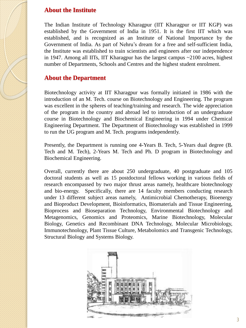#### **About the Institute**

The Indian Institute of Technology Kharagpur (IIT Kharagpur or IIT KGP) was established by the Government of India in 1951. It is the first IIT which was established, and is recognized as an Institute of National Importance by the Government of India. As part of Nehru's dream for a free and self-sufficient India, the Institute was established to train scientists and engineers after our independence in 1947. Among all IITs, IIT Kharagpur has the largest campus ~2100 acres, highest number of Departments, Schools and Centres and the highest student enrolment.

#### **About the Department**

Biotechnology activity at IIT Kharagpur was formally initiated in 1986 with the introduction of an M. Tech. course on Biotechnology and Engineering. The program was excellent in the spheres of teaching/training and research. The wide appreciation of the program in the country and abroad led to introduction of an undergraduate course in Biotechnology and Biochemical Engineering in 1994 under Chemical Engineering Department. The Department of Biotechnology was established in 1999 to run the UG program and M. Tech. programs independently.

Presently, the Department is running one 4-Years B. Tech, 5-Years dual degree (B. Tech and M. Tech), 2-Years M. Tech and Ph. D program in Biotechnology and Biochemical Engineering.

Overall, currently there are about 250 undergraduate, 40 postgraduate and 105 doctoral students as well as 15 postdoctoral fellows working in various fields of research encompassed by two major thrust areas namely, healthcare biotechnology and bio-energy. Specifically, there are 14 faculty members conducting research under 13 different subject areas namely, Antimicrobial Chemotherapy, Bioenergy and Bioproduct Development, Bioinformatics, Biomaterials and Tissue Engineering, Bioprocess and Bioseparation Technology, Environmental Biotechnology and Metagenomics, Genomics and Proteomics, Marine Biotechnology, Molecular Biology, Genetics and Recombinant DNA Technology, Molecular Microbiology, Immunotechnology, Plant Tissue Culture, Metabolomics and Transgenic Technology, Structural Biology and Systems Biology.

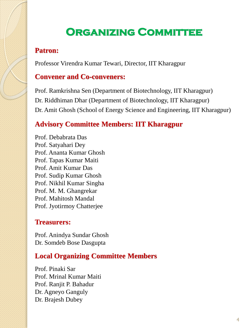# **Organizing Committee**

# **Patron:**

Professor Virendra Kumar Tewari, Director, IIT Kharagpur

# **Convener and Co-conveners:**

Prof. Ramkrishna Sen (Department of Biotechnology, IIT Kharagpur) Dr. Riddhiman Dhar (Department of Biotechnology, IIT Kharagpur) Dr. Amit Ghosh (School of Energy Science and Engineering, IIT Kharagpur)

# **Advisory Committee Members: IIT Kharagpur**

Prof. Debabrata Das Prof. Satyahari Dey Prof. Ananta Kumar Ghosh Prof. Tapas Kumar Maiti Prof. Amit Kumar Das Prof. Sudip Kumar Ghosh Prof. Nikhil Kumar Singha Prof. M. M. Ghangrekar Prof. Mahitosh Mandal Prof. Jyotirmoy Chatterjee

## **Treasurers:**

Prof. Anindya Sundar Ghosh Dr. Somdeb Bose Dasgupta

# **Local Organizing Committee Members**

Prof. Pinaki Sar Prof. Mrinal Kumar Maiti Prof. Ranjit P. Bahadur Dr. Agneyo Ganguly Dr. Brajesh Dubey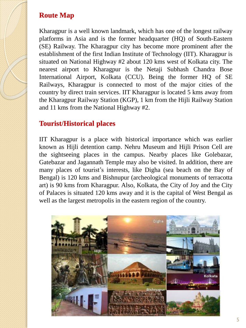## **Route Map**

Kharagpur is a well known landmark, which has one of the longest railway platforms in Asia and is the former headquarter (HQ) of South-Eastern (SE) Railway. The Kharagpur city has become more prominent after the establishment of the first Indian Institute of Technology (IIT). Kharagpur is situated on National Highway #2 about 120 kms west of Kolkata city. The nearest airport to Kharagpur is the Netaji Subhash Chandra Bose International Airport, Kolkata (CCU). Being the former HQ of SE Railways, Kharagpur is connected to most of the major cities of the country by direct train services. IIT Kharagpur is located 5 kms away from the Kharagpur Railway Station (KGP), 1 km from the Hijli Railway Station and 11 kms from the National Highway #2.

# **Tourist/Historical places**

IIT Kharagpur is a place with historical importance which was earlier known as Hijli detention camp. Nehru Museum and Hijli Prison Cell are the sightseeing places in the campus. Nearby places like Golebazar, Gatebazar and Jagannath Temple may also be visited. In addition, there are many places of tourist's interests, like Digha (sea beach on the Bay of Bengal) is 120 kms and Bishnupur (archeological monuments of terracotta art) is 90 kms from Kharagpur. Also, Kolkata, the City of Joy and the City of Palaces is situated 120 kms away and it is the capital of West Bengal as well as the largest metropolis in the eastern region of the country.

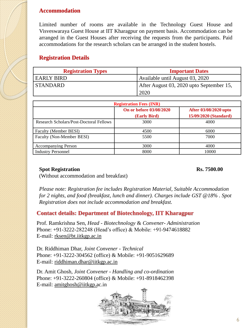#### **Accommodation**

Limited number of rooms are available in the Technology Guest House and Visveswaraya Guest House at IIT Kharagpur on payment basis. Accommodation can be arranged in the Guest Houses after receiving the requests from the participants. Paid accommodations for the research scholars can be arranged in the student hostels.

#### **Registration Details**

| <b>Registration Types</b> | <b>Important Dates</b>                   |  |
|---------------------------|------------------------------------------|--|
| EARLY BIRD                | Available until August 03, 2020          |  |
| STANDARD                  | After August 03, 2020 upto September 15, |  |
|                           | 2020                                     |  |

| <b>Registration Fees (INR)</b>          |                                         |                                                |
|-----------------------------------------|-----------------------------------------|------------------------------------------------|
|                                         | On or before 03/08/2020<br>(Early Bird) | After 03/08/2020 upto<br>15/09/2020 (Standard) |
| Research Scholars/Post-Doctoral Fellows | 3000                                    | 4000                                           |
| Faculty (Member BESI)                   | 4500                                    | 6000                                           |
| Faculty (Non-Member BESI)               | 5500                                    | 7000                                           |
| <b>Accompanying Person</b>              | 3000                                    | 4000                                           |
| <b>Industry Personnel</b>               | 8000                                    | 10000                                          |

#### **Spot Registration Rs. 7500.00**

(Without accommodation and breakfast)

*Please note: Registration fee includes Registration Material, Suitable Accommodation for 2 nights, and food (breakfast, lunch and dinner). Charges include GST @18% . Spot Registration does not include accommodation and breakfast.*

#### **Contact details: Department of Biotechnology, IIT Kharagpur**

Prof. Ramkrishna Sen*, Head - Biotechnology* & *Convener- Administration* Phone: +91-3222-282248 (Head's office) & Mobile: +91-9474618882 E-mail: rksen@bt.iitkgp.ac.in

Dr. Riddhiman Dhar, *Joint Convener - Technical* Phone: +91-3222-304562 (office) & Mobile: +91-9051629689 E-mail: riddhiman.dhar@iitkgp.ac.in

Dr. Amit Ghosh, *Joint Convener - Handling and co-ordination* Phone: +91-3222-260804 (office) & Mobile: +91-8918462398 E-mail: amitghosh@iitkgp.ac.in